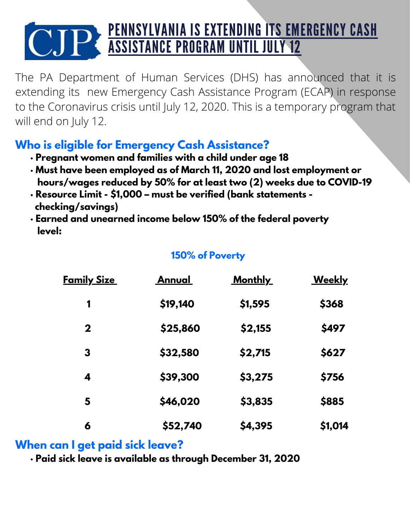# PENNSYLVANIA IS EXTENDING ITS EMERGENCY CASH ASSISTANCE PROGRAM UNTIL JULY 12

The PA Department of Human Services (DHS) has announced that it is extending its new Emergency Cash Assistance Program (ECAP) in response to the Coronavirus crisis until July 12, 2020. This is a temporary program that will end on July 12.

## **Who is eligible for Emergency Cash Assistance?**

- **· Pregnant women and families with a child under age 18**
- **· Must have been employed as of March 11, 2020 and lost employment or hours/wages reduced by 50% for at least two (2) weeks due to COVID-19**
- **· Resource Limit - \$1,000 – must be verified (bank statements checking/savings)**
- **· Earned and unearned income below 150% of the federal poverty level:**

#### **150% of Poverty**

| <u>Family Size_</u> | <u>Annual</u> | <u>Monthly</u> | <u>Weekly</u> |
|---------------------|---------------|----------------|---------------|
| 1                   | \$19,140      | \$1,595        | \$368         |
| $\mathbf 2$         | \$25,860      | \$2,155        | \$497         |
| 3                   | \$32,580      | \$2,715        | \$627         |
| 4                   | \$39,300      | \$3,275        | \$756         |
| 5                   | \$46,020      | \$3,835        | \$885         |
| 6                   | \$52,740      | \$4,395        | \$1,014       |

#### **When can I get paid sick leave?**

**· Paid sick leave is available as through December 31, 2020**